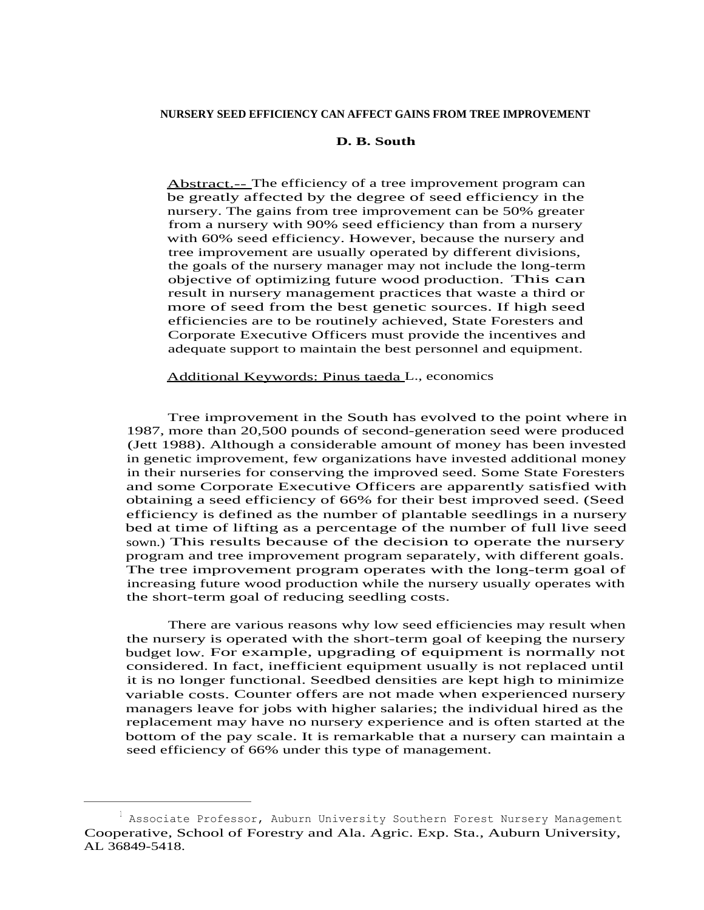## **D. B. South**

Abstract.-- The efficiency of a tree improvement program can be greatly affected by the degree of seed efficiency in the nursery. The gains from tree improvement can be 50% greater from a nursery with 90% seed efficiency than from a nursery with 60% seed efficiency. However, because the nursery and tree improvement are usually operated by different divisions, the goals of the nursery manager may not include the long-term objective of optimizing future wood production. This can result in nursery management practices that waste a third or more of seed from the best genetic sources. If high seed efficiencies are to be routinely achieved, State Foresters and Corporate Executive Officers must provide the incentives and adequate support to maintain the best personnel and equipment.

Additional Keywords: Pinus taeda L., economics

Tree improvement in the South has evolved to the point where in 1987, more than 20,500 pounds of second-generation seed were produced (Jett 1988). Although a considerable amount of money has been invested in genetic improvement, few organizations have invested additional money in their nurseries for conserving the improved seed. Some State Foresters and some Corporate Executive Officers are apparently satisfied with obtaining a seed efficiency of 66% for their best improved seed. (Seed efficiency is defined as the number of plantable seedlings in a nursery bed at time of lifting as a percentage of the number of full live seed sown.) This results because of the decision to operate the nursery program and tree improvement program separately, with different goals. The tree improvement program operates with the long-term goal of increasing future wood production while the nursery usually operates with the short-term goal of reducing seedling costs.

There are various reasons why low seed efficiencies may result when the nursery is operated with the short-term goal of keeping the nursery budget low. For example, upgrading of equipment is normally not considered. In fact, inefficient equipment usually is not replaced until it is no longer functional. Seedbed densities are kept high to minimize variable costs. Counter offers are not made when experienced nursery managers leave for jobs with higher salaries; the individual hired as the replacement may have no nursery experience and is often started at the bottom of the pay scale. It is remarkable that a nursery can maintain a seed efficiency of 66% under this type of management.

 $^{\rm 1}$  Associate Professor, Auburn University Southern Forest Nursery Management Cooperative, School of Forestry and Ala. Agric. Exp. Sta., Auburn University, AL 36849-5418.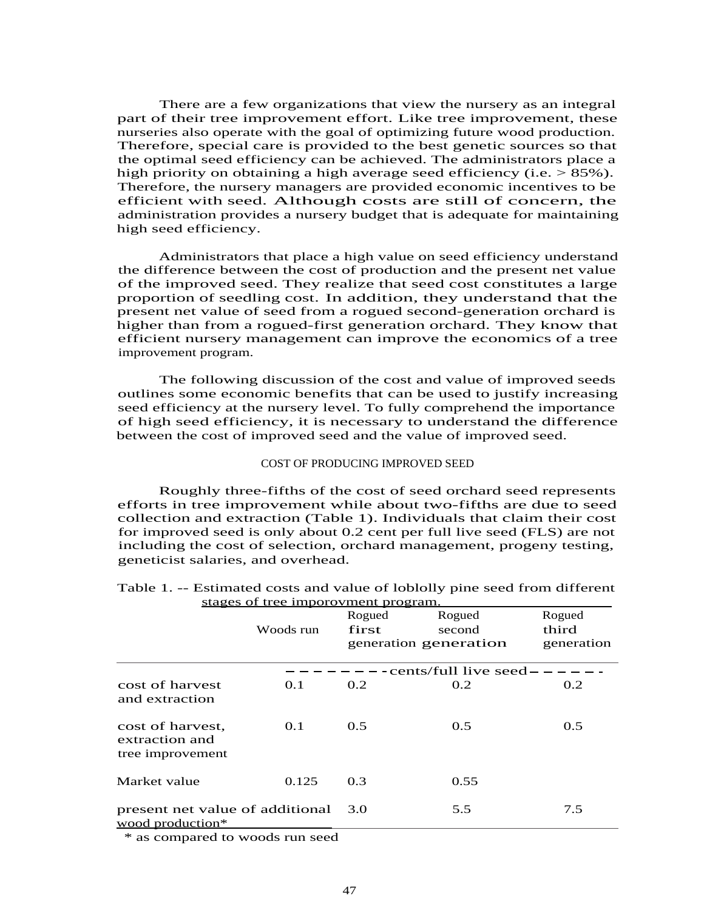There are a few organizations that view the nursery as an integral part of their tree improvement effort. Like tree improvement, these nurseries also operate with the goal of optimizing future wood production. Therefore, special care is provided to the best genetic sources so that the optimal seed efficiency can be achieved. The administrators place a high priority on obtaining a high average seed efficiency (i.e.  $> 85\%$ ). Therefore, the nursery managers are provided economic incentives to be efficient with seed. Although costs are still of concern, the administration provides a nursery budget that is adequate for maintaining high seed efficiency.

Administrators that place a high value on seed efficiency understand the difference between the cost of production and the present net value of the improved seed. They realize that seed cost constitutes a large proportion of seedling cost. In addition, they understand that the present net value of seed from a rogued second-generation orchard is higher than from a rogued-first generation orchard. They know that efficient nursery management can improve the economics of a tree improvement program.

The following discussion of the cost and value of improved seeds outlines some economic benefits that can be used to justify increasing seed efficiency at the nursery level. To fully comprehend the importance of high seed efficiency, it is necessary to understand the difference between the cost of improved seed and the value of improved seed.

### COST OF PRODUCING IMPROVED SEED

Roughly three-fifths of the cost of seed orchard seed represents efforts in tree improvement while about two-fifths are due to seed collection and extraction (Table 1). Individuals that claim their cost for improved seed is only about 0.2 cent per full live seed (FLS) are not including the cost of selection, orchard management, progeny testing, geneticist salaries, and overhead.

|                                                        |           | Rogued | Rogued                 | Rogued     |
|--------------------------------------------------------|-----------|--------|------------------------|------------|
|                                                        | Woods run | first  | second                 | third      |
|                                                        |           |        | generation generation  | generation |
|                                                        |           |        | -cents/full live seed- |            |
| cost of harvest<br>and extraction                      | 0.1       | 0.2    | 0.2                    | 0.2        |
| cost of harvest,<br>extraction and<br>tree improvement | 0.1       | 0.5    | 0.5                    | 0.5        |
| Market value                                           | 0.125     | 0.3    | 0.55                   |            |
| present net value of additional<br>wood production*    |           | 3.0    | 5.5                    | 7.5        |
| * as compared to woods run seed                        |           |        |                        |            |

| Table 1. -- Estimated costs and value of loblolly pine seed from different |  |
|----------------------------------------------------------------------------|--|
| stages of tree imporovment program.                                        |  |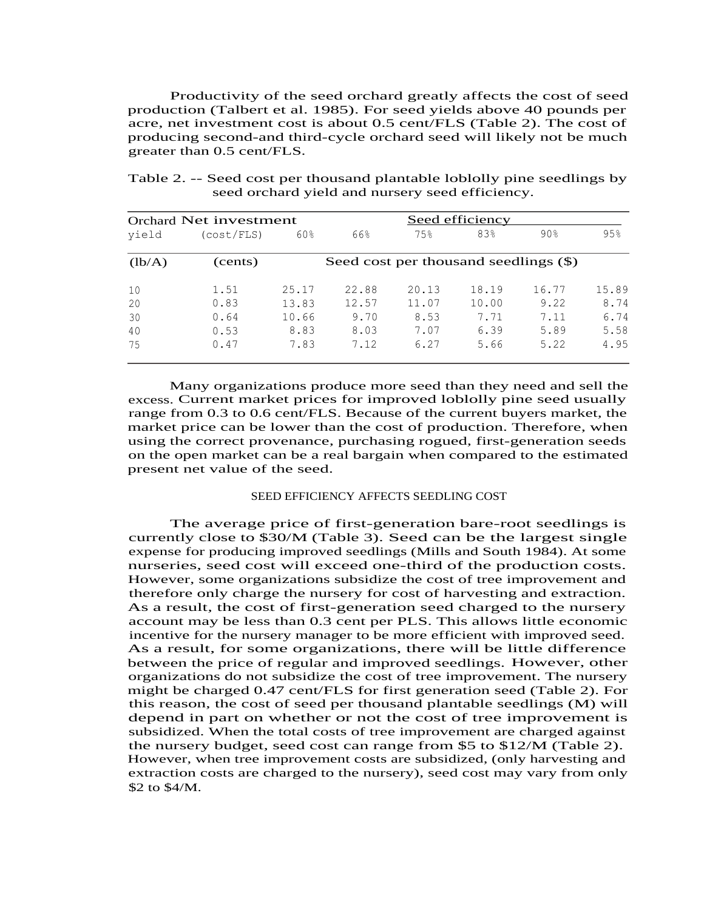Productivity of the seed orchard greatly affects the cost of seed production (Talbert et al. 1985). For seed yields above 40 pounds per acre, net investment cost is about 0.5 cent/FLS (Table 2). The cost of producing second-and third-cycle orchard seed will likely not be much greater than 0.5 cent/FLS.

|        | Orchard Net investment |       | Seed efficiency |                                       |       |                 |       |
|--------|------------------------|-------|-----------------|---------------------------------------|-------|-----------------|-------|
| vield  | (cost/FLS)             | 60%   | 66%             | 75%                                   | 83%   | 90 <sub>8</sub> | 95%   |
| (lb/A) | (cents)                |       |                 | Seed cost per thousand seedlings (\$) |       |                 |       |
| 10     | 1.51                   | 25.17 | 22.88           | 20.13                                 | 18.19 | 16.77           | 15.89 |
| 20     | 0.83                   | 13.83 | 12.57           | 11.07                                 | 10.00 | 9.22            | 8.74  |
| 30     | 0.64                   | 10.66 | 9.70            | 8.53                                  | 7.71  | 7.11            | 6.74  |
| 40     | 0.53                   | 8.83  | 8.03            | 7.07                                  | 6.39  | 5.89            | 5.58  |
| 75     | 0.47                   | 7.83  | 7.12            | 6.27                                  | 5.66  | 5.22            | 4.95  |

Table 2. -- Seed cost per thousand plantable loblolly pine seedlings by seed orchard yield and nursery seed efficiency.

Many organizations produce more seed than they need and sell the excess. Current market prices for improved loblolly pine seed usually range from 0.3 to 0.6 cent/FLS. Because of the current buyers market, the market price can be lower than the cost of production. Therefore, when using the correct provenance, purchasing rogued, first-generation seeds on the open market can be a real bargain when compared to the estimated present net value of the seed.

# SEED EFFICIENCY AFFECTS SEEDLING COST

The average price of first-generation bare-root seedlings is currently close to \$30/M (Table 3). Seed can be the largest single expense for producing improved seedlings (Mills and South 1984). At some nurseries, seed cost will exceed one-third of the production costs. However, some organizations subsidize the cost of tree improvement and therefore only charge the nursery for cost of harvesting and extraction. As a result, the cost of first-generation seed charged to the nursery account may be less than 0.3 cent per PLS. This allows little economic incentive for the nursery manager to be more efficient with improved seed. As a result, for some organizations, there will be little difference between the price of regular and improved seedlings. However, other organizations do not subsidize the cost of tree improvement. The nursery might be charged 0.47 cent/FLS for first generation seed (Table 2). For this reason, the cost of seed per thousand plantable seedlings (M) will depend in part on whether or not the cost of tree improvement is subsidized. When the total costs of tree improvement are charged against the nursery budget, seed cost can range from \$5 to \$12/M (Table 2). However, when tree improvement costs are subsidized, (only harvesting and extraction costs are charged to the nursery), seed cost may vary from only \$2 to \$4/M.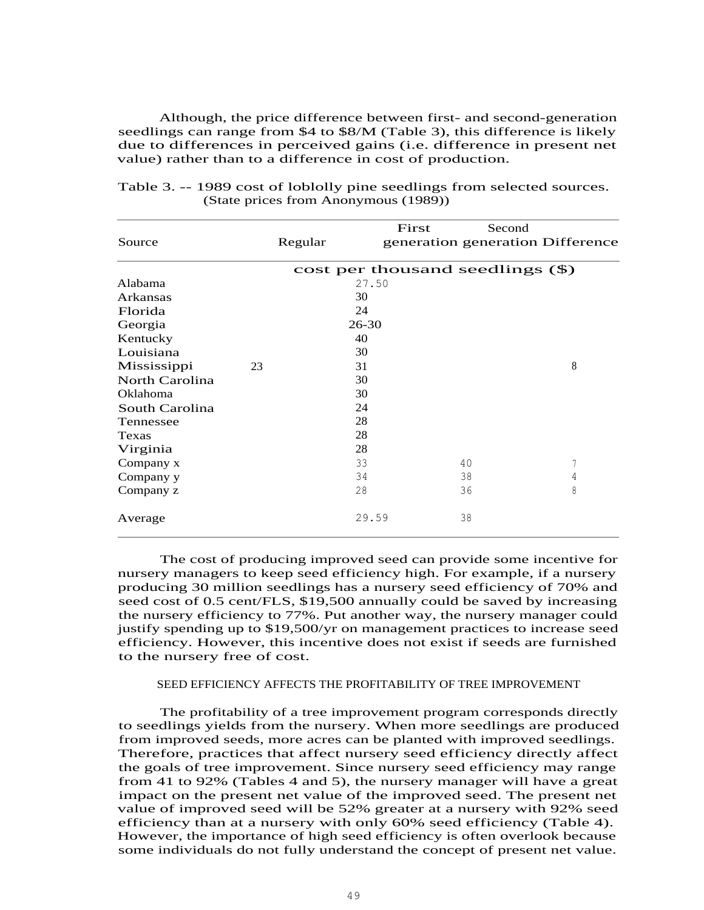Although, the price difference between first- and second-generation seedlings can range from \$4 to \$8/M (Table 3), this difference is likely due to differences in perceived gains (i.e. difference in present net value) rather than to a difference in cost of production.

|                |    |           | First                            | Second |                                  |
|----------------|----|-----------|----------------------------------|--------|----------------------------------|
| Source         |    | Regular   |                                  |        | generation generation Difference |
|                |    |           | cost per thousand seedlings (\$) |        |                                  |
| Alabama        |    |           | 27.50                            |        |                                  |
| Arkansas       |    | 30        |                                  |        |                                  |
| Florida        |    | 24        |                                  |        |                                  |
| Georgia        |    | $26 - 30$ |                                  |        |                                  |
| Kentucky       |    | 40        |                                  |        |                                  |
| Louisiana      |    | 30        |                                  |        |                                  |
| Mississippi    | 23 | 31        |                                  |        | 8                                |
| North Carolina |    | 30        |                                  |        |                                  |
| Oklahoma       |    | 30        |                                  |        |                                  |
| South Carolina |    | 24        |                                  |        |                                  |
| Tennessee      |    | 28        |                                  |        |                                  |
| Texas          |    | 28        |                                  |        |                                  |
| Virginia       |    | 28        |                                  |        |                                  |
| Company x      |    | 33        |                                  | 40     | 7                                |
| Company y      |    | 34        |                                  | 38     | 4                                |
| Company z      |    | 28        |                                  | 36     | 8                                |
| Average        |    |           | 29.59                            | 38     |                                  |

Table 3. -- 1989 cost of loblolly pine seedlings from selected sources. (State prices from Anonymous (1989))

The cost of producing improved seed can provide some incentive for nursery managers to keep seed efficiency high. For example, if a nursery producing 30 million seedlings has a nursery seed efficiency of 70% and seed cost of 0.5 cent/FLS, \$19,500 annually could be saved by increasing the nursery efficiency to 77%. Put another way, the nursery manager could justify spending up to \$19,500/yr on management practices to increase seed efficiency. However, this incentive does not exist if seeds are furnished to the nursery free of cost.

## SEED EFFICIENCY AFFECTS THE PROFITABILITY OF TREE IMPROVEMENT

The profitability of a tree improvement program corresponds directly to seedlings yields from the nursery. When more seedlings are produced from improved seeds, more acres can be planted with improved seedlings. Therefore, practices that affect nursery seed efficiency directly affect the goals of tree improvement. Since nursery seed efficiency may range from 41 to 92% (Tables 4 and 5), the nursery manager will have a great impact on the present net value of the improved seed. The present net value of improved seed will be 52% greater at a nursery with 92% seed efficiency than at a nursery with only 60% seed efficiency (Table 4). However, the importance of high seed efficiency is often overlook because some individuals do not fully understand the concept of present net value.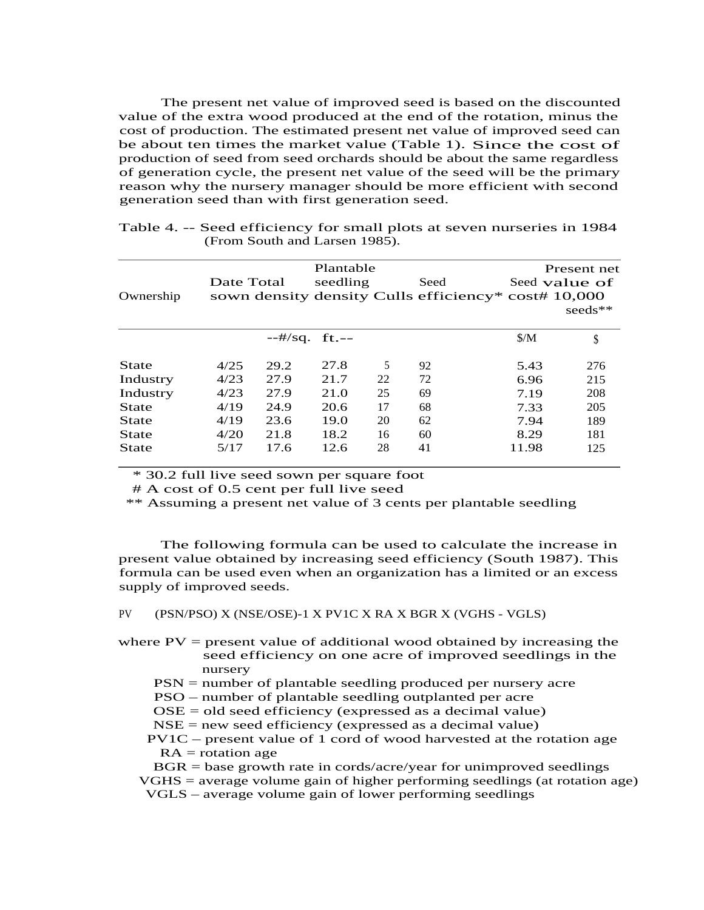The present net value of improved seed is based on the discounted value of the extra wood produced at the end of the rotation, minus the cost of production. The estimated present net value of improved seed can be about ten times the market value (Table 1). Since the cost of production of seed from seed orchards should be about the same regardless of generation cycle, the present net value of the seed will be the primary reason why the nursery manager should be more efficient with second generation seed than with first generation seed.

| Ownership    | Date Total |      | Plantable<br>seedling |    | Seed |               | Present net<br>Seed value of<br>sown density density Culls efficiency* cost# 10,000<br>$seeds**$ |  |
|--------------|------------|------|-----------------------|----|------|---------------|--------------------------------------------------------------------------------------------------|--|
|              |            |      | $-#/sq.$ ft.--        |    |      | $\frac{S}{M}$ | J                                                                                                |  |
| <b>State</b> | 4/25       | 29.2 | 27.8                  | 5  | 92   | 5.43          | 276                                                                                              |  |
| Industry     | 4/23       | 27.9 | 21.7                  | 22 | 72   | 6.96          | 215                                                                                              |  |
| Industry     | 4/23       | 27.9 | 21.0                  | 25 | 69   | 7.19          | 208                                                                                              |  |
| <b>State</b> | 4/19       | 24.9 | 20.6                  | 17 | 68   | 7.33          | 205                                                                                              |  |
| <b>State</b> | 4/19       | 23.6 | 19.0                  | 20 | 62   | 7.94          | 189                                                                                              |  |
| <b>State</b> | 4/20       | 21.8 | 18.2                  | 16 | 60   | 8.29          | 181                                                                                              |  |
| <b>State</b> | 5/17       | 17.6 | 12.6                  | 28 | 41   | 11.98         | 125                                                                                              |  |

| Table 4. -- Seed efficiency for small plots at seven nurseries in 1984 |  |
|------------------------------------------------------------------------|--|
| (From South and Larsen 1985).                                          |  |

\* 30.2 full live seed sown per square foot

# A cost of 0.5 cent per full live seed

\*\* Assuming a present net value of 3 cents per plantable seedling

The following formula can be used to calculate the increase in present value obtained by increasing seed efficiency (South 1987). This formula can be used even when an organization has a limited or an excess supply of improved seeds.

PV (PSN/PSO) X (NSE/OSE)-1 X PV1C X RA X BGR X (VGHS - VGLS)

- where  $PV =$  present value of additional wood obtained by increasing the seed efficiency on one acre of improved seedlings in the nursery
	- PSN = number of plantable seedling produced per nursery acre
	- PSO number of plantable seedling outplanted per acre
	- OSE = old seed efficiency (expressed as a decimal value)
	- $NSE = new seed efficiency$  (expressed as a decimal value)
	- PV1C present value of 1 cord of wood harvested at the rotation age  $RA = rotation$  age

BGR = base growth rate in cords/acre/year for unimproved seedlings VGHS = average volume gain of higher performing seedlings (at rotation age)

VGLS – average volume gain of lower performing seedlings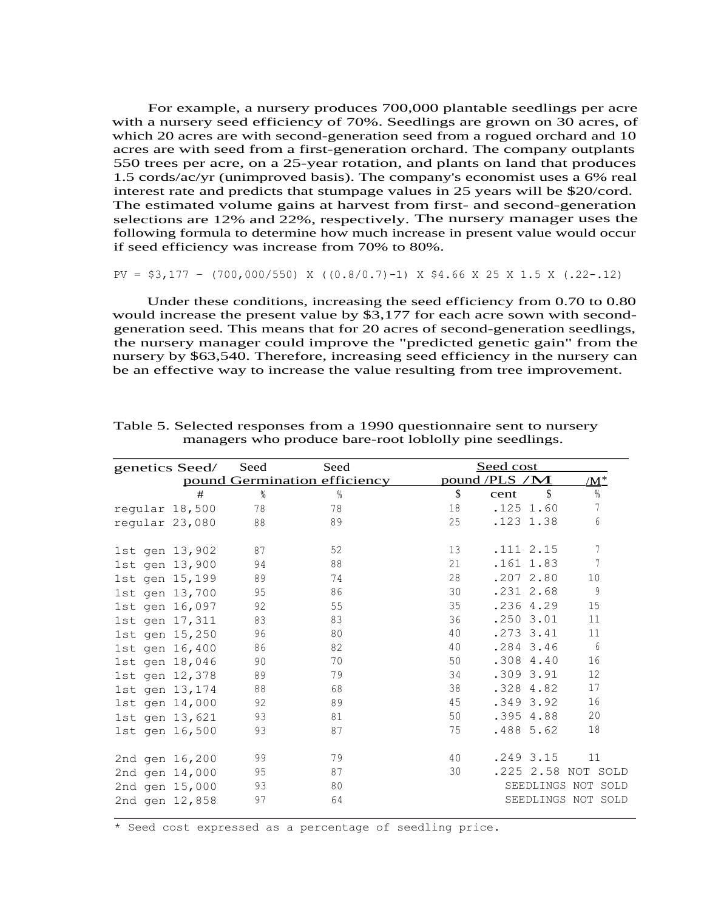For example, a nursery produces 700,000 plantable seedlings per acre with a nursery seed efficiency of 70%. Seedlings are grown on 30 acres, of which 20 acres are with second-generation seed from a rogued orchard and 10 acres are with seed from a first-generation orchard. The company outplants 550 trees per acre, on a 25-year rotation, and plants on land that produces 1.5 cords/ac/yr (unimproved basis). The company's economist uses a 6% real interest rate and predicts that stumpage values in 25 years will be \$20/cord. The estimated volume gains at harvest from first- and second-generation selections are 12% and 22%, respectively. The nursery manager uses the following formula to determine how much increase in present value would occur if seed efficiency was increase from 70% to 80%.

$$
PV = $3,177 - (700,000/550) \times ((0.8/0.7)-1) \times $4.66 \times 25 \times 1.5 \times (.22-.12)
$$

Under these conditions, increasing the seed efficiency from 0.70 to 0.80 would increase the present value by \$3,177 for each acre sown with secondgeneration seed. This means that for 20 acres of second-generation seedlings, the nursery manager could improve the "predicted genetic gain" from the nursery by \$63,540. Therefore, increasing seed efficiency in the nursery can be an effective way to increase the value resulting from tree improvement.

|  | genetics Seed/ | Seed | Seed                         |    | Seed cost                         |                  |
|--|----------------|------|------------------------------|----|-----------------------------------|------------------|
|  |                |      | pound Germination efficiency |    | pound /PLS /M                     | <u>/M*</u>       |
|  | #              | %    | %                            | \$ | $\boldsymbol{\mathsf{S}}$<br>cent | $\%$             |
|  | regular 18,500 | 78   | 78                           | 18 | $.125$ 1.60                       | 7                |
|  | regular 23,080 | 88   | 89                           | 25 | .123 1.38                         | $\boldsymbol{6}$ |
|  | 1st gen 13,902 | 87   | 52                           | 13 | .1112.15                          | 7                |
|  | 1st gen 13,900 | 94   | 88                           | 21 | $.161$ 1.83                       | $\sqrt{ }$       |
|  | 1st gen 15,199 | 89   | 74                           | 28 | .2072.80                          | 10               |
|  | 1st gen 13,700 | 95   | 86                           | 30 | $.231$ 2.68                       | 9                |
|  | 1st gen 16,097 | 92   | 55                           | 35 | .236 4.29                         | 15               |
|  | 1st gen 17,311 | 83   | 83                           | 36 | .2503.01                          | 11               |
|  | 1st gen 15,250 | 96   | 80                           | 40 | $.273$ $3.41$                     | 11               |
|  | 1st gen 16,400 | 86   | 82                           | 40 | .284 3.46                         | 6                |
|  | 1st gen 18,046 | 90   | 70                           | 50 | .308 4.40                         | 16               |
|  | 1st gen 12,378 | 89   | 79                           | 34 | .309 3.91                         | 12               |
|  | 1st gen 13,174 | 88   | 68                           | 38 | .328 4.82                         | 17               |
|  | 1st gen 14,000 | 92   | 89                           | 45 | .349 3.92                         | 16               |
|  | 1st gen 13,621 | 93   | 81                           | 50 | .395 4.88                         | 20               |
|  | 1st gen 16,500 | 93   | 87                           | 75 | .4885.62                          | 18               |
|  | 2nd gen 16,200 | 99   | 79                           | 40 | .249 3.15                         | 11               |
|  | 2nd gen 14,000 | 95   | 87                           | 30 | .225 2.58 NOT SOLD                |                  |
|  | 2nd gen 15,000 | 93   | 80                           |    | SEEDLINGS NOT SOLD                |                  |
|  | 2nd gen 12,858 | 97   | 64                           |    | SEEDLINGS NOT SOLD                |                  |

Table 5. Selected responses from a 1990 questionnaire sent to nursery managers who produce bare-root loblolly pine seedlings.

\* Seed cost expressed as a percentage of seedling price.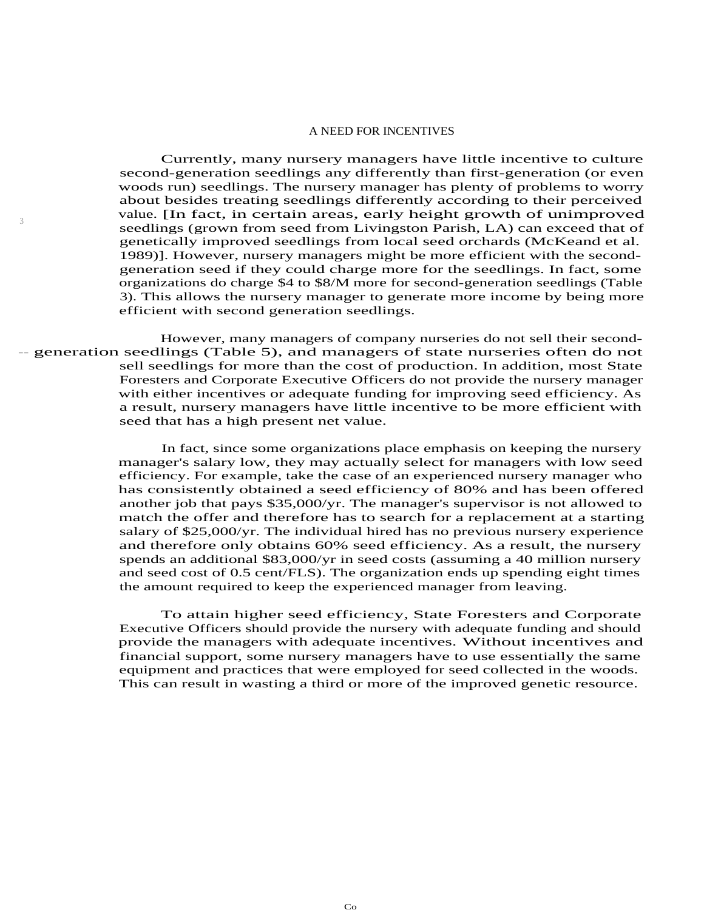#### A NEED FOR INCENTIVES

Currently, many nursery managers have little incentive to culture second-generation seedlings any differently than first-generation (or even woods run) seedlings. The nursery manager has plenty of problems to worry about besides treating seedlings differently according to their perceived value. [In fact, in certain areas, early height growth of unimproved seedlings (grown from seed from Livingston Parish, LA) can exceed that of genetically improved seedlings from local seed orchards (McKeand et al. 1989)]. However, nursery managers might be more efficient with the secondgeneration seed if they could charge more for the seedlings. In fact, some organizations do charge \$4 to \$8/M more for second-generation seedlings (Table 3). This allows the nursery manager to generate more income by being more efficient with second generation seedlings.

However, many managers of company nurseries do not sell their second- -- generation seedlings (Table 5), and managers of state nurseries often do not sell seedlings for more than the cost of production. In addition, most State Foresters and Corporate Executive Officers do not provide the nursery manager with either incentives or adequate funding for improving seed efficiency. As a result, nursery managers have little incentive to be more efficient with seed that has a high present net value.

3

In fact, since some organizations place emphasis on keeping the nursery manager's salary low, they may actually select for managers with low seed efficiency. For example, take the case of an experienced nursery manager who has consistently obtained a seed efficiency of 80% and has been offered another job that pays \$35,000/yr. The manager's supervisor is not allowed to match the offer and therefore has to search for a replacement at a starting salary of \$25,000/yr. The individual hired has no previous nursery experience and therefore only obtains 60% seed efficiency. As a result, the nursery spends an additional \$83,000/yr in seed costs (assuming a 40 million nursery and seed cost of 0.5 cent/FLS). The organization ends up spending eight times the amount required to keep the experienced manager from leaving.

To attain higher seed efficiency, State Foresters and Corporate Executive Officers should provide the nursery with adequate funding and should provide the managers with adequate incentives. Without incentives and financial support, some nursery managers have to use essentially the same equipment and practices that were employed for seed collected in the woods. This can result in wasting a third or more of the improved genetic resource.

Co